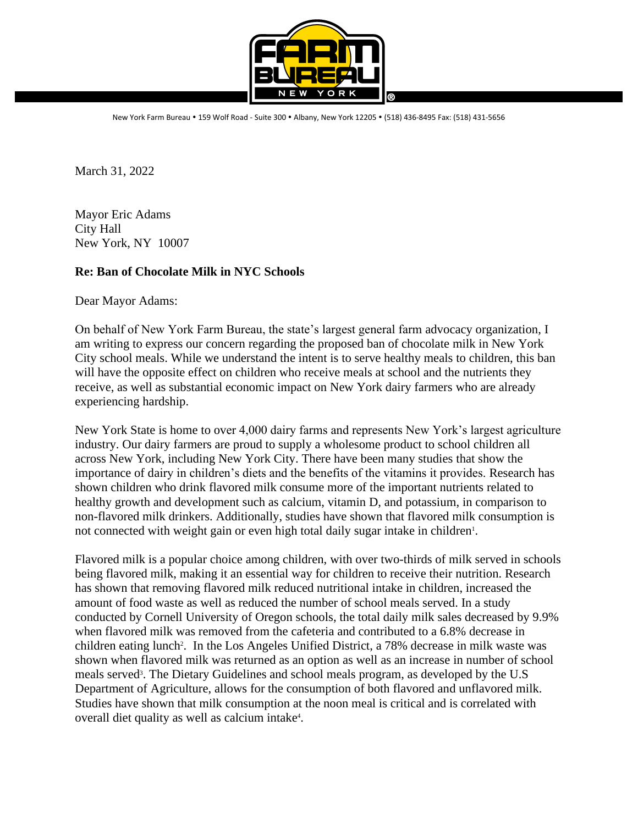

New York Farm Bureau . 159 Wolf Road - Suite 300 . Albany, New York 12205 . (518) 436-8495 Fax: (518) 431-5656

March 31, 2022

Mayor Eric Adams City Hall New York, NY 10007

## **Re: Ban of Chocolate Milk in NYC Schools**

Dear Mayor Adams:

On behalf of New York Farm Bureau, the state's largest general farm advocacy organization, I am writing to express our concern regarding the proposed ban of chocolate milk in New York City school meals. While we understand the intent is to serve healthy meals to children, this ban will have the opposite effect on children who receive meals at school and the nutrients they receive, as well as substantial economic impact on New York dairy farmers who are already experiencing hardship.

New York State is home to over 4,000 dairy farms and represents New York's largest agriculture industry. Our dairy farmers are proud to supply a wholesome product to school children all across New York, including New York City. There have been many studies that show the importance of dairy in children's diets and the benefits of the vitamins it provides. Research has shown children who drink flavored milk consume more of the important nutrients related to healthy growth and development such as calcium, vitamin D, and potassium, in comparison to non-flavored milk drinkers. Additionally, studies have shown that flavored milk consumption is not connected with weight gain or even high total daily sugar intake in children 1 .

Flavored milk is a popular choice among children, with over two-thirds of milk served in schools being flavored milk, making it an essential way for children to receive their nutrition. Research has shown that removing flavored milk reduced nutritional intake in children, increased the amount of food waste as well as reduced the number of school meals served. In a study conducted by Cornell University of Oregon schools, the total daily milk sales decreased by 9.9% when flavored milk was removed from the cafeteria and contributed to a 6.8% decrease in children eating lunch 2 . In the Los Angeles Unified District, a 78% decrease in milk waste was shown when flavored milk was returned as an option as well as an increase in number of school meals served 3 . The Dietary Guidelines and school meals program, as developed by the U.S Department of Agriculture, allows for the consumption of both flavored and unflavored milk. Studies have shown that milk consumption at the noon meal is critical and is correlated with overall diet quality as well as calcium intake 4 .